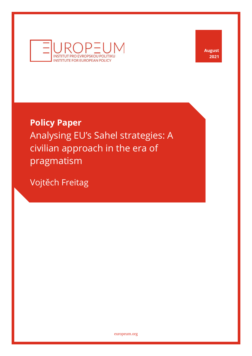

**August 2021**

# **Policy Paper**

Analysing EU's Sahel strategies: A civilian approach in the era of pragmatism

Vojtěch Freitag

[europeum.org](https://europeum.org/)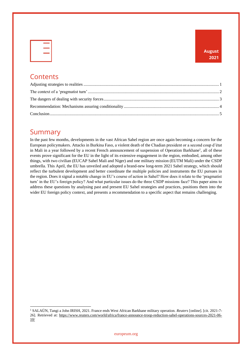|  | -    |         |
|--|------|---------|
|  |      |         |
|  | ____ | X.      |
|  |      |         |
|  |      | v<br>-- |
|  |      |         |
|  |      |         |

### **Contents**

### Summary

In the past few months, developments in the vast African Sahel region are once again becoming a concern for the European policymakers. Attacks in Burkina Faso, a violent death of the Chadian president or a second coup d'état in Mali in a year followed by a recent French announcement of suspension of Operation Barkhane<sup>1</sup>, all of these events prove significant for the EU in the light of its extensive engagement in the region, embodied, among other things, with two civilian (EUCAP Sahel Mali and Niger) and one military mission (EUTM Mali) under the CSDP umbrella. This April, the EU has unveiled and adopted a brand-new long-term 2021 Sahel strategy, which should reflect the turbulent development and better coordinate the multiple policies and instruments the EU pursues in the region. Does it signal a notable change in EU's course of action in Sahel? How does it relate to the 'pragmatist turn' in the EU's foreign policy? And what particular issues do the three CSDP missions face? This paper aims to address these questions by analysing past and present EU Sahel strategies and practices, positions them into the wider EU foreign policy context, and presents a recommendation to a specific aspect that remains challenging.

<sup>1</sup> SALAÜN, Tangi a John IRISH, 2021. France ends West African Barkhane military operation. *Reuters* [online]. [cit. 2021-7- 26]. Retrieved at: [https://www.reuters.com/world/africa/france-announce-troop-reduction-sahel-operations-sources-2021-06-](https://www.reuters.com/world/africa/france-announce-troop-reduction-sahel-operations-sources-2021-06-10/) [10/](https://www.reuters.com/world/africa/france-announce-troop-reduction-sahel-operations-sources-2021-06-10/)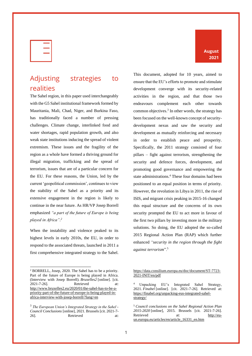| $\overline{\phantom{a}}$ |
|--------------------------|
| ۰                        |
|                          |

### <span id="page-2-0"></span>Adjusting strategies to realities

The Sahel region, in this paper used interchangeably with the G5 Sahel institutional framework formed by Mauritania, Mali, Chad, Niger, and Burkina Faso, has traditionally faced a number of pressing challenges. Climate change, interlinked food and water shortages, rapid population growth, and also weak state institutions inducing the spread of violent extremism. These issues and the fragility of the region as a whole have formed a thriving ground for illegal migration, trafficking and the spread of terrorism, issues that are of a particular concern for the EU. For these reasons, the Union, led by the current 'geopolitical commission', continues to view the stability of the Sahel as a priority and its extensive engagement in the region is likely to continue in the near future. As HR/VP Josep Borrell emphasized *"a part of the future of Europe is being played in Africa". 2*

When the instability and violence peaked to its highest levels in early 2010s, the EU, in order to respond to the associated threats, launched in 2011 a first comprehensive integrated strategy to the Sahel.

This document, adopted for 10 years, aimed to ensure that the EU's efforts to promote and stimulate development converge with its security-related activities in the region, and that those two endeavours complement each other towards common objectives.<sup>3</sup> In other words, the strategy has been focused on the well-known concept of securitydevelopment nexus and saw the security and development as mutually reinforcing and necessary in order to establish peace and prosperity. Specifically, the 2011 strategy consisted of four pillars – fight against terrorism, strengthening the security and defence forces, development, and promoting good governance and empowering the state administrations.<sup>4</sup> These four domains had been positioned to an equal position in terms of priority. However, the revolution in Libya in 2011, the rise of ISIS, and migrant crisis peaking in 2015-16 changed this equal structure and the concerns of its own security prompted the EU to act more in favour of the first two pillars by investing more in the military solutions. So doing, the EU adopted the so-called 2015 Regional Action Plan (RAP) which further enhanced *"security in the region through the fight against terrorism*".<sup>5</sup>

**August 2021**

<sup>2</sup> BORRELL, Josep, 2020. The Sahel has to be a priority. Part of the future of Europe is being played in Africa. (Interview with Josep Borrell). *Bruxelles2* [online]. [cit. 2021-7-26]. Retrieved at: [http://www.bruxelles2.eu/2020/01/the-sahel-has-to-be-a](http://www.bruxelles2.eu/2020/01/the-sahel-has-to-be-a-priority-part-of-the-future-of-europe-is-being-played-in-africa-interview-with-josep-borrell/?lang=en)[priority-part-of-the-future-of-europe-is-being-played-in](http://www.bruxelles2.eu/2020/01/the-sahel-has-to-be-a-priority-part-of-the-future-of-europe-is-being-played-in-africa-interview-with-josep-borrell/?lang=en)[africa-interview-with-josep-borrell/?lang=en](http://www.bruxelles2.eu/2020/01/the-sahel-has-to-be-a-priority-part-of-the-future-of-europe-is-being-played-in-africa-interview-with-josep-borrell/?lang=en)

<sup>3</sup> *The European Union's Integrated Strategy in the Sahel - Council Conclusions* [online], 2021. Brussels [cit. 2021-7- 26]. Retrieved at:

[https://data.consilium.europa.eu/doc/document/ST-7723-](https://data.consilium.europa.eu/doc/document/ST-7723-2021-INIT/en/pdf) [2021-INIT/en/pdf](https://data.consilium.europa.eu/doc/document/ST-7723-2021-INIT/en/pdf)

<sup>4</sup> Unpacking EU's Integrated Sahel Strategy, 2021. *Finabel* [online]. [cit. 2021-7-26]. Retrieved at: [https://finabel.org/unpacking-eus-integrated-sahel](https://finabel.org/unpacking-eus-integrated-sahel-strategy/)[strategy/](https://finabel.org/unpacking-eus-integrated-sahel-strategy/)

<sup>5</sup> *Council conclusions on the Sahel Regional Action Plan 2015-2020* [online], 2015. Brussels [cit. 2021-7-26]. Retrieved at: [http://eu](http://eu-un.europa.eu/articles/en/article_16331_en.htm)[un.europa.eu/articles/en/article\\_16331\\_en.htm](http://eu-un.europa.eu/articles/en/article_16331_en.htm)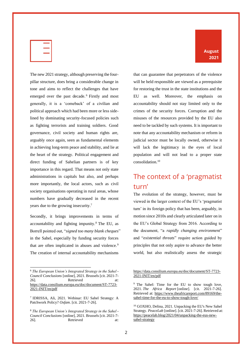| s.<br>$\overline{\phantom{a}}$ |  |
|--------------------------------|--|
| -                              |  |
|                                |  |

The new 2021 strategy, although preserving the fourpillar structure, does bring a considerable change in tone and aims to reflect the challenges that have emerged over the past decade. <sup>6</sup> Firstly and most generally, it is a 'comeback' of a civilian and political approach which had been more or less sidelined by dominating security-focused policies such as fighting terrorists and training soldiers. Good governance, civil society and human rights are, arguably once again, seen as fundamental elements in achieving long-term peace and stability, and lie at the heart of the strategy. Political engagement and direct funding of Sahelian partners is of key importance in this regard. That means not only state administrations in capitals but also, and perhaps more importantly, the local actors, such as civil society organisations operating in rural areas, whose numbers have gradually decreased in the recent years due to the growing insecurity.<sup>7</sup>

Secondly, it brings improvements in terms of accountability and fighting impunity.<sup>8</sup> The EU, as Borrell pointed out, "*signed too many blank cheques*" in the Sahel, especially by funding security forces that are often implicated in abuses and violence. <sup>9</sup> The creation of internal accountability mechanisms

**August 2021**

that can guarantee that perpetrators of the violence will be held responsible are viewed as a prerequisite for restoring the trust in the state institutions and the EU as well. Moreover, the emphasis on accountability should not stay limited only to the crimes of the security forces. Corruption and the misuses of the resources provided by the EU also need to be tackled by such systems. It is important to note that any accountability mechanism or reform in judicial sector must be locally owned, otherwise it will lack the legitimacy in the eyes of local population and will not lead to a proper state consolidation.<sup>10</sup>

### <span id="page-3-0"></span>The context of a 'pragmatist turn'

The evolution of the strategy, however, must be viewed in the larger context of the EU's 'pragmatist turn' in its foreign policy that has been, arguably, in motion since 2010s and clearly articulated later on in the EU's Global Strategy from 2016. According to the document, "a *rapidly changing environment*" and "*existential threats*" require action guided by principles that not only aspire to advance the better world, but also realistically assess the strategic

<sup>6</sup> *The European Union's Integrated Strategy in the Sahel - Council Conclusions* [online], 2021. Brussels [cit. 2021-7- 26]. Retrieved at: [https://data.consilium.europa.eu/doc/document/ST-7723-](https://data.consilium.europa.eu/doc/document/ST-7723-2021-INIT/en/pdf) [2021-INIT/en/pdf](https://data.consilium.europa.eu/doc/document/ST-7723-2021-INIT/en/pdf)

<sup>7</sup> IDRISSA, Ali, 2021. Webinar: EU Sahel Strategy: A Patchwork Policy? *Oxfam*. [cit. 2021-7-26].

<sup>8</sup> *The European Union's Integrated Strategy in the Sahel - Council Conclusions* [online], 2021. Brussels [cit. 2021-7- 26]. Retrieved at:

[https://data.consilium.europa.eu/doc/document/ST-7723-](https://data.consilium.europa.eu/doc/document/ST-7723-2021-INIT/en/pdf) [2021-INIT/en/pdf](https://data.consilium.europa.eu/doc/document/ST-7723-2021-INIT/en/pdf)

<sup>&</sup>lt;sup>9</sup> The Sahel: Time for the EU to show tough love, 2021. *The Africa Report* [online]. [cit. 2021-7-26]. Retrieved at: [https://www.theafricareport.com/89169/the](https://www.theafricareport.com/89169/the-sahel-time-for-the-eu-to-show-tough-love/)[sahel-time-for-the-eu-to-show-tough-love/](https://www.theafricareport.com/89169/the-sahel-time-for-the-eu-to-show-tough-love/)

<sup>10</sup> GOXHO, Delina, 2021. Unpacking the EU's New Sahel Strategy. *PeaceLab* [online]. [cit. 2021-7-26]. Retrieved at: [https://peacelab.blog/2021/04/unpacking-the-eus-new](https://peacelab.blog/2021/04/unpacking-the-eus-new-sahel-strategy)[sahel-strategy](https://peacelab.blog/2021/04/unpacking-the-eus-new-sahel-strategy)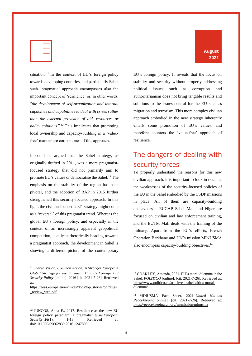|    | <b>Contract Contract Contract Contract</b> |
|----|--------------------------------------------|
|    | X.                                         |
| __ |                                            |

situation.<sup>11</sup> In the context of EU's foreign policy towards developing countries, and particularly Sahel, such 'pragmatic' approach encompasses also the important concept of 'resilience' or, in other words, "*the development of self-organization and internal capacities and capabilities to deal with crises rather than the external provision of aid, resources or policy solutions"*. <sup>12</sup> This implicates that promoting local ownership and capacity-building in a 'valuefree' manner are cornerstones of this approach.

It could be argued that the Sahel strategy, as originally drafted in 2011, was a more pragmatistfocused strategy that did not primarily aim to promote EU's values or democratise the Sahel.<sup>13</sup> The emphasis on the stability of the region has been pivotal, and the adoption of RAP in 2015 further strengthened this security-focused approach. In this light, the civilian-focused 2021 strategy might come as a 'reversal' of this pragmatist trend. Whereas the global EU's foreign policy, and especially in the context of an increasingly apparent geopolitical competition, is at least rhetorically heading towards a pragmatist approach, the development in Sahel is showing a different picture of the contemporary

EU's foreign policy. It reveals that the focus on stability and security without properly addressing political issues such as corruption and authoritarianism does not bring tangible results and solutions to the issues central for the EU such as migration and terrorism. This more complex civilian approach embodied in the new strategy inherently entails some promotion of EU's values, and therefore counters the 'value-free' approach of resilience.

### <span id="page-4-0"></span>The dangers of dealing with security forces

To properly understand the reasons for this new civilian approach, it is important to look in detail at the weaknesses of the security-focused policies of the EU in the Sahel embodied by the CSDP missions in place. All of them are capacity-building endeavours – EUCAP Sahel Mali and Niger are focused on civilian and law enforcement training, and the EUTM Mali deals with the training of the military. Apart from the EU's efforts, French Operation Barkhane and UN's mission MINUSMA also encompass capacity-building objectives.<sup>14</sup>

#### **August 2021**

<sup>11</sup> *Shared Vision, Common Action: A Stronger Europe: A Global Strategy for the European Union's Foreign And Security Policy* [online]. 2016 [cit. 2021-7-26]. Retrieved at:

[https://eeas.europa.eu/archives/docs/top\\_stories/pdf/eugs](https://eeas.europa.eu/archives/docs/top_stories/pdf/eugs_review_web.pdf) [\\_review\\_web.pdf](https://eeas.europa.eu/archives/docs/top_stories/pdf/eugs_review_web.pdf)

<sup>12</sup> JUNCOS, Anna E., 2017. Resilience as the new EU foreign policy paradigm: a pragmatist turn? *European Security*. **26**(1), 1-18. Retrieved at: doi:10.1080/09662839.2016.1247809

<sup>13</sup> COAKLEY, Amanda, 2021. EU's moral dilemma in the Sahel. *POLITICO* [online]. [cit. 2021-7-26]. Retrieved at: [https://www.politico.eu/article/eu-sahel-africa-moral](https://www.politico.eu/article/eu-sahel-africa-moral-dilemma/)[dilemma/](https://www.politico.eu/article/eu-sahel-africa-moral-dilemma/)

<sup>14</sup> MINUSMA Fact Sheet, 2021. *United Nations Peacekeeping* [online]. [cit. 2021-7-26]. Retrieved at: <https://peacekeeping.un.org/en/mission/minusma>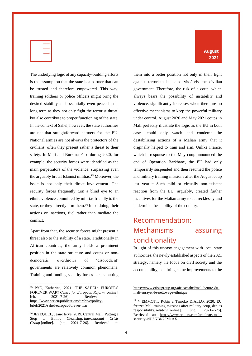|  | -                              |  |
|--|--------------------------------|--|
|  | u.<br>$\overline{\phantom{a}}$ |  |
|  | --                             |  |
|  |                                |  |

The underlying logic of any capacity-building efforts is the assumption that the state is a partner that can be trusted and therefore empowered. This way, training soldiers or police officers might bring the desired stability and essentially even peace in the long term as they not only fight the terrorist threat, but also contribute to proper functioning of the state. In the context of Sahel, however, the state authorities are not that straightforward partners for the EU. National armies are not always the protectors of the civilians, often they present rather a threat to their safety. In Mali and Burkina Faso during 2020, for example, the security forces were identified as the main perpetrators of the violence, surpassing even the arguably brutal Islamist militias.<sup>15</sup> Moreover, the issue is not only their direct involvement. The security forces frequently turn a blind eye to an ethnic violence committed by militias friendly to the state, or they directly arm them.<sup>16</sup> In so doing, their actions or inactions, fuel rather than mediate the conflict.

Apart from that, the security forces might present a threat also to the stability of a state. Traditionally in African countries, the army holds a prominent position in the state structure and coups or nondemocratic overthrows of 'disobedient' governments are relatively common phenomena. Training and funding security forces means putting

**August 2021**

them into a better position not only in their fight against terrorism but also vis-à-vis the civilian government. Therefore, the risk of a coup, which always bears the possibility of instability and violence, significantly increases when there are no effective mechanisms to keep the powerful military under control. August 2020 and May 2021 coups in Mali perfectly illustrate the logic as the EU in both cases could only watch and condemn the destabilizing actions of a Malian army that it originally helped to train and arm. Unlike France, which in response to the May coup announced the end of Operation Barkhane, the EU had only temporarily suspended and then resumed the police and military training missions after the August coup last year.  $17$  Such mild or virtually non-existent reaction from the EU, arguably, created further incentives for the Malian army to act recklessly and undermine the stability of the country.

## <span id="page-5-0"></span>Recommendation: Mechanisms assuring conditionality

In light of this uneasy engagement with local state authorities, the newly established aspects of the 2021 strategy, namely the focus on civil society and the accountability, can bring some improvements to the

<sup>15</sup> PYE, Katherine, 2021. THE SAHEL: EUROPE'S FOREVER WAR? *Centre for European Reform* [online]. [cit. 2021-7-26]. Retrieved at: [https://www.cer.eu/publications/archive/policy](https://www.cer.eu/publications/archive/policy-brief/2021/sahel-europes-forever-war)[brief/2021/sahel-europes-forever-war](https://www.cer.eu/publications/archive/policy-brief/2021/sahel-europes-forever-war)

<sup>16</sup> JEZEQUEL, Jean-Herve, 2019. Central Mali: Putting a Stop to Ethnic Cleansing. *International Crisis Group* [online]. [cit. 2021-7-26]. Retrieved at:

[https://www.crisisgroup.org/africa/sahel/mali/centre-du](https://www.crisisgroup.org/africa/sahel/mali/centre-du-mali-enrayer-le-nettoyage-ethnique)[mali-enrayer-le-nettoyage-ethnique](https://www.crisisgroup.org/africa/sahel/mali/centre-du-mali-enrayer-le-nettoyage-ethnique)

<sup>&</sup>lt;sup>17</sup> <sup>17</sup> EMMOTT, Robin a Temoko DIALLO, 2020. EU freezes Mali training missions after military coup, denies responsibility. *Reuters* [online]. [cit. 2021-7-26]. Retrieved at: [https://www.reuters.com/article/us-mali](https://www.reuters.com/article/us-mali-security-idUSKBN25M1AX)[security-idUSKBN25M1AX](https://www.reuters.com/article/us-mali-security-idUSKBN25M1AX)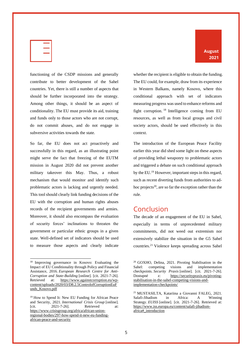

**August 2021**

functioning of the CSDP missions and generally contribute to better development of the Sahel countries. Yet, there is still a number of aspects that should be further incorporated into the strategy. Among other things, it should be an aspect of conditionality. The EU must provide its aid, training and funds only to those actors who are not corrupt, do not commit abuses, and do not engage in subversive activities towards the state.

So far, the EU does not act proactively and successfully in this regard, as an illustrating point might serve the fact that freezing of the EUTM mission in August 2020 did not prevent another military takeover this May. Thus, a robust mechanism that would monitor and identify such problematic actors is lacking and urgently needed. This tool should clearly link funding decisions of the EU with the corruption and human rights abuses records of the recipient governments and armies. Moreover, it should also encompass the evaluation of security forces' inclinations to threaten the government or particular ethnic groups in a given state. Well-defined set of indicators should be used to measure those aspects and clearly indicate whether the recipient is eligible to obtain the funding. The EU could, for example, draw from its experience in Western Balkans, namely Kosovo, where this conditional approach with set of indicators measuring progress was used to enhance reforms and fight corruption. <sup>18</sup> Intelligence coming from EU resources, as well as from local groups and civil society actors, should be used effectively in this context.

The introduction of the European Peace Facility earlier this year did shed some light on these aspects of providing lethal weaponry to problematic actors and triggered a debate on such conditional approach by the EU.<sup>19</sup> However, important steps in this regard, such as recent diverting funds from authorities to adhoc projects $20$ , are so far the exception rather than the rule.

### <span id="page-6-0"></span>Conclusion

The decade of an engagement of the EU in Sahel, especially in terms of unprecedented military commitments, did not weed out extremism nor extensively stabilize the situation in the G5 Sahel countries.<sup>21</sup> Violence keeps spreading across Sahel

<sup>18</sup> Improving governance in Kosovo: Evaluating the Impact of EU Conditionality through Policy and Financial Assistance, 2016. *European Research Centre for Anti-Corruption and State-Building* [online]. [cit. 2021-7-26]. Retrieved at: [https://www.againstcorruption.eu/wp](https://www.againstcorruption.eu/wp-content/uploads/2020/03/D8.2.5ControlofCorruptionEuFunds_Kosovo.pdf)[content/uploads/2020/03/D8.2.5ControlofCorruptionEuF](https://www.againstcorruption.eu/wp-content/uploads/2020/03/D8.2.5ControlofCorruptionEuFunds_Kosovo.pdf) [unds\\_Kosovo.pdf](https://www.againstcorruption.eu/wp-content/uploads/2020/03/D8.2.5ControlofCorruptionEuFunds_Kosovo.pdf)

<sup>19</sup> How to Spend It: New EU Funding for African Peace and Security, 2021. *International Crisis Group* [online]. [cit. 2021-7-26]. Retrieved at: [https://www.crisisgroup.org/africa/african-union](https://www.crisisgroup.org/africa/african-union-regional-bodies/297-how-spend-it-new-eu-funding-african-peace-and-security)[regional-bodies/297-how-spend-it-new-eu-funding](https://www.crisisgroup.org/africa/african-union-regional-bodies/297-how-spend-it-new-eu-funding-african-peace-and-security)[african-peace-and-security](https://www.crisisgroup.org/africa/african-union-regional-bodies/297-how-spend-it-new-eu-funding-african-peace-and-security)

<sup>20</sup> GOXHO, Delina, 2021. Pivoting Stabilisation in the Sahel: competing visions and implementation checkpoints. *Security Praxis* [online]. [cit. 2021-7-26]. Dostupné z: [https://securitypraxis.eu/pivoting](https://securitypraxis.eu/pivoting-stabilisation-in-the-sahel-competing-visions-and-implementation-checkpoints/)[stabilisation-in-the-sahel-competing-visions-and](https://securitypraxis.eu/pivoting-stabilisation-in-the-sahel-competing-visions-and-implementation-checkpoints/)[implementation-checkpoints/](https://securitypraxis.eu/pivoting-stabilisation-in-the-sahel-competing-visions-and-implementation-checkpoints/)

<sup>21</sup> MUSTASILTA, Katariina a Giovanni FALEG, 2021. Salafi-Jihadism in Africa: A Winning Strategy. *EUISS* [online]. [cit. 2021-7-26]. Retrieved at: [https://www.iss.europa.eu/content/salafi-jihadism](https://www.iss.europa.eu/content/salafi-jihadism-africa#_introduction)[africa#\\_introduction](https://www.iss.europa.eu/content/salafi-jihadism-africa#_introduction)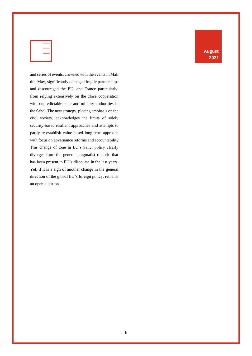|  | ÷                              |  |
|--|--------------------------------|--|
|  | v.<br>$\overline{\phantom{a}}$ |  |
|  | v.<br>--<br>__                 |  |
|  |                                |  |

and series of events, crowned with the events in Mali this May, significantly damaged fragile partnerships and discouraged the EU, and France particularly, from relying extensively on the close cooperation with unpredictable state and military authorities in the Sahel. The new strategy, placing emphasis on the civil society, acknowledges the limits of solely security-based resilient approaches and attempts to partly re-establish value-based long-term approach with focus on governance reforms and accountability. This change of tone in EU's Sahel policy clearly diverges from the general pragmatist rhetoric that has been present in EU's discourse in the last years. Yet, if it is a sign of another change in the general direction of the global EU's foreign policy, remains an open question.

**August 2021**